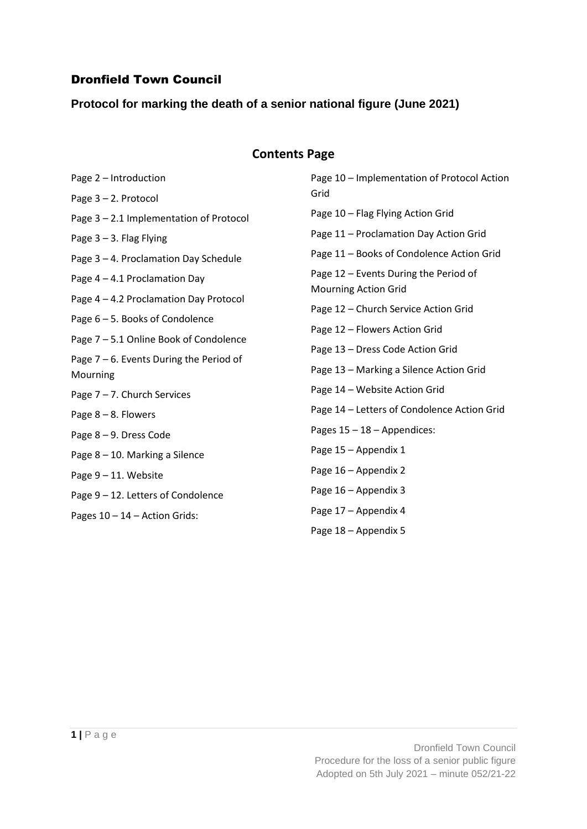# Dronfield Town Council

# **Protocol for marking the death of a senior national figure (June 2021)**

# **Contents Page**

| Page 2 - Introduction                                  | Page 10 - Implementation of Protocol Action |
|--------------------------------------------------------|---------------------------------------------|
| Page 3 - 2. Protocol                                   | Grid                                        |
| Page 3 - 2.1 Implementation of Protocol                | Page 10 - Flag Flying Action Grid           |
| Page $3 - 3$ . Flag Flying                             | Page 11 - Proclamation Day Action Grid      |
| Page 3 - 4. Proclamation Day Schedule                  | Page 11 - Books of Condolence Action Grid   |
| Page 4 - 4.1 Proclamation Day                          | Page 12 - Events During the Period of       |
| Page 4 - 4.2 Proclamation Day Protocol                 | <b>Mourning Action Grid</b>                 |
| Page 6 - 5. Books of Condolence                        | Page 12 - Church Service Action Grid        |
|                                                        | Page 12 - Flowers Action Grid               |
| Page 7 - 5.1 Online Book of Condolence                 | Page 13 - Dress Code Action Grid            |
| Page $7 - 6$ . Events During the Period of<br>Mourning | Page 13 - Marking a Silence Action Grid     |
| Page $7 - 7$ . Church Services                         | Page 14 - Website Action Grid               |
| Page $8 - 8$ . Flowers                                 | Page 14 - Letters of Condolence Action Grid |
| Page 8 - 9. Dress Code                                 | Pages 15 - 18 - Appendices:                 |
| Page 8 - 10. Marking a Silence                         | Page 15 - Appendix 1                        |
| Page $9 - 11$ . Website                                | Page 16 - Appendix 2                        |
| Page 9 - 12. Letters of Condolence                     | Page 16 - Appendix 3                        |
| Pages $10 - 14$ - Action Grids:                        | Page 17 - Appendix 4                        |
|                                                        | Page 18 - Appendix 5                        |
|                                                        |                                             |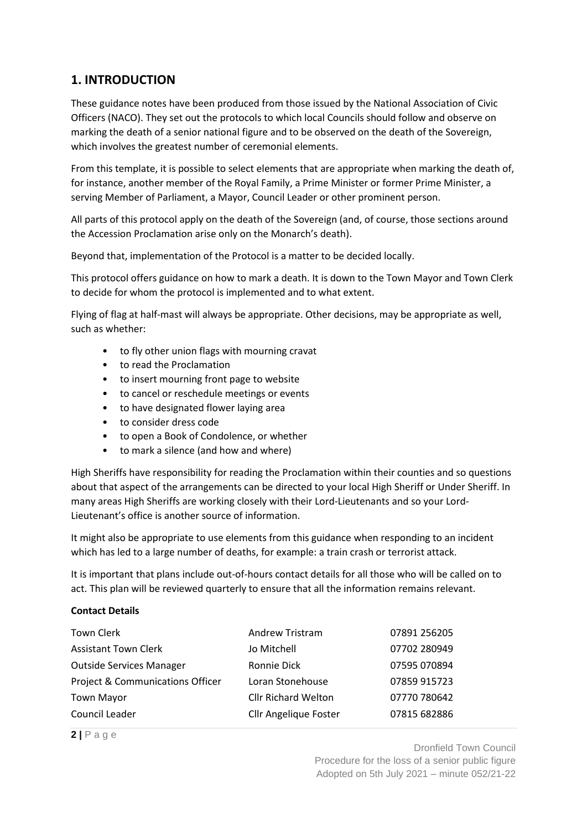# **1. INTRODUCTION**

These guidance notes have been produced from those issued by the National Association of Civic Officers (NACO). They set out the protocols to which local Councils should follow and observe on marking the death of a senior national figure and to be observed on the death of the Sovereign, which involves the greatest number of ceremonial elements.

From this template, it is possible to select elements that are appropriate when marking the death of, for instance, another member of the Royal Family, a Prime Minister or former Prime Minister, a serving Member of Parliament, a Mayor, Council Leader or other prominent person.

All parts of this protocol apply on the death of the Sovereign (and, of course, those sections around the Accession Proclamation arise only on the Monarch's death).

Beyond that, implementation of the Protocol is a matter to be decided locally.

This protocol offers guidance on how to mark a death. It is down to the Town Mayor and Town Clerk to decide for whom the protocol is implemented and to what extent.

Flying of flag at half-mast will always be appropriate. Other decisions, may be appropriate as well, such as whether:

- to fly other union flags with mourning cravat
- to read the Proclamation
- to insert mourning front page to website
- to cancel or reschedule meetings or events
- to have designated flower laying area
- to consider dress code
- to open a Book of Condolence, or whether
- to mark a silence (and how and where)

High Sheriffs have responsibility for reading the Proclamation within their counties and so questions about that aspect of the arrangements can be directed to your local High Sheriff or Under Sheriff. In many areas High Sheriffs are working closely with their Lord-Lieutenants and so your Lord-Lieutenant's office is another source of information.

It might also be appropriate to use elements from this guidance when responding to an incident which has led to a large number of deaths, for example: a train crash or terrorist attack.

It is important that plans include out-of-hours contact details for all those who will be called on to act. This plan will be reviewed quarterly to ensure that all the information remains relevant.

#### **Contact Details**

| <b>Town Clerk</b>                           | <b>Andrew Tristram</b>       | 07891 256205 |
|---------------------------------------------|------------------------------|--------------|
| <b>Assistant Town Clerk</b>                 | Jo Mitchell                  | 07702 280949 |
| <b>Outside Services Manager</b>             | Ronnie Dick                  | 07595 070894 |
| <b>Project &amp; Communications Officer</b> | Loran Stonehouse             | 07859 915723 |
| <b>Town Mayor</b>                           | <b>Cllr Richard Welton</b>   | 07770 780642 |
| Council Leader                              | <b>Cllr Angelique Foster</b> | 07815 682886 |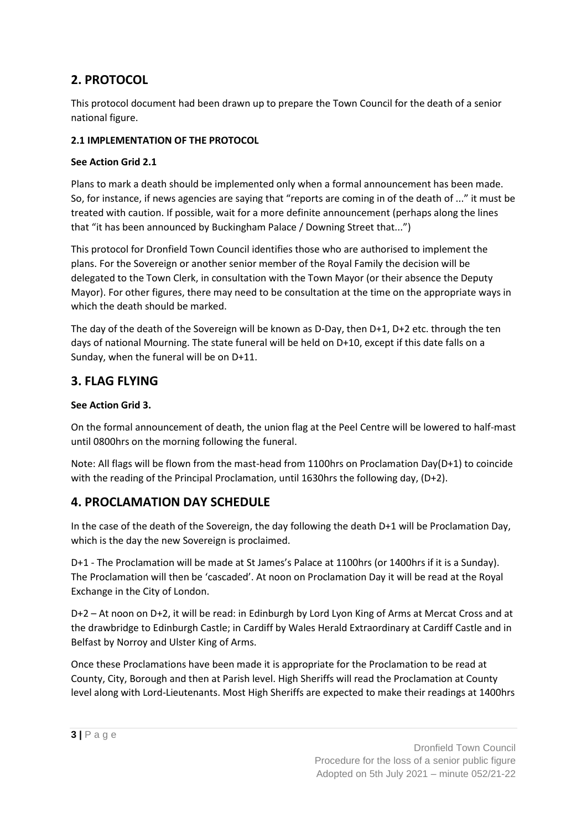# **2. PROTOCOL**

This protocol document had been drawn up to prepare the Town Council for the death of a senior national figure.

### **2.1 IMPLEMENTATION OF THE PROTOCOL**

### **See Action Grid 2.1**

Plans to mark a death should be implemented only when a formal announcement has been made. So, for instance, if news agencies are saying that "reports are coming in of the death of ..." it must be treated with caution. If possible, wait for a more definite announcement (perhaps along the lines that "it has been announced by Buckingham Palace / Downing Street that...")

This protocol for Dronfield Town Council identifies those who are authorised to implement the plans. For the Sovereign or another senior member of the Royal Family the decision will be delegated to the Town Clerk, in consultation with the Town Mayor (or their absence the Deputy Mayor). For other figures, there may need to be consultation at the time on the appropriate ways in which the death should be marked.

The day of the death of the Sovereign will be known as D-Day, then D+1, D+2 etc. through the ten days of national Mourning. The state funeral will be held on D+10, except if this date falls on a Sunday, when the funeral will be on D+11.

# **3. FLAG FLYING**

### **See Action Grid 3.**

On the formal announcement of death, the union flag at the Peel Centre will be lowered to half-mast until 0800hrs on the morning following the funeral.

Note: All flags will be flown from the mast-head from 1100hrs on Proclamation Day(D+1) to coincide with the reading of the Principal Proclamation, until 1630hrs the following day, (D+2).

# **4. PROCLAMATION DAY SCHEDULE**

In the case of the death of the Sovereign, the day following the death D+1 will be Proclamation Day, which is the day the new Sovereign is proclaimed.

D+1 - The Proclamation will be made at St James's Palace at 1100hrs (or 1400hrs if it is a Sunday). The Proclamation will then be 'cascaded'. At noon on Proclamation Day it will be read at the Royal Exchange in the City of London.

D+2 – At noon on D+2, it will be read: in Edinburgh by Lord Lyon King of Arms at Mercat Cross and at the drawbridge to Edinburgh Castle; in Cardiff by Wales Herald Extraordinary at Cardiff Castle and in Belfast by Norroy and Ulster King of Arms.

Once these Proclamations have been made it is appropriate for the Proclamation to be read at County, City, Borough and then at Parish level. High Sheriffs will read the Proclamation at County level along with Lord-Lieutenants. Most High Sheriffs are expected to make their readings at 1400hrs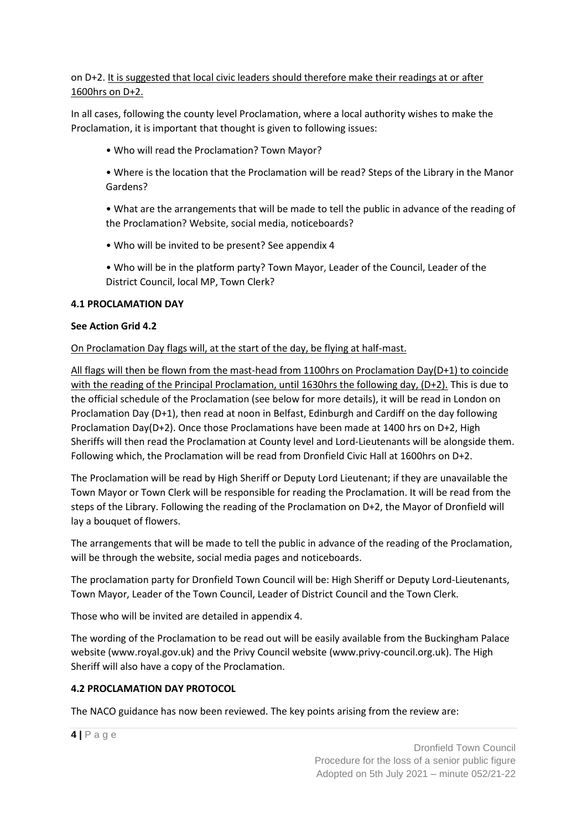### on D+2. It is suggested that local civic leaders should therefore make their readings at or after 1600hrs on D+2.

In all cases, following the county level Proclamation, where a local authority wishes to make the Proclamation, it is important that thought is given to following issues:

- Who will read the Proclamation? Town Mayor?
- Where is the location that the Proclamation will be read? Steps of the Library in the Manor Gardens?

• What are the arrangements that will be made to tell the public in advance of the reading of the Proclamation? Website, social media, noticeboards?

- Who will be invited to be present? See appendix 4
- Who will be in the platform party? Town Mayor, Leader of the Council, Leader of the District Council, local MP, Town Clerk?

### **4.1 PROCLAMATION DAY**

### **See Action Grid 4.2**

On Proclamation Day flags will, at the start of the day, be flying at half-mast.

All flags will then be flown from the mast-head from 1100hrs on Proclamation Day(D+1) to coincide with the reading of the Principal Proclamation, until 1630hrs the following day, (D+2). This is due to the official schedule of the Proclamation (see below for more details), it will be read in London on Proclamation Day (D+1), then read at noon in Belfast, Edinburgh and Cardiff on the day following Proclamation Day(D+2). Once those Proclamations have been made at 1400 hrs on D+2, High Sheriffs will then read the Proclamation at County level and Lord-Lieutenants will be alongside them. Following which, the Proclamation will be read from Dronfield Civic Hall at 1600hrs on D+2.

The Proclamation will be read by High Sheriff or Deputy Lord Lieutenant; if they are unavailable the Town Mayor or Town Clerk will be responsible for reading the Proclamation. It will be read from the steps of the Library. Following the reading of the Proclamation on D+2, the Mayor of Dronfield will lay a bouquet of flowers.

The arrangements that will be made to tell the public in advance of the reading of the Proclamation, will be through the website, social media pages and noticeboards.

The proclamation party for Dronfield Town Council will be: High Sheriff or Deputy Lord-Lieutenants, Town Mayor, Leader of the Town Council, Leader of District Council and the Town Clerk.

Those who will be invited are detailed in appendix 4.

The wording of the Proclamation to be read out will be easily available from the Buckingham Palace website (www.royal.gov.uk) and the Privy Council website (www.privy-council.org.uk). The High Sheriff will also have a copy of the Proclamation.

### **4.2 PROCLAMATION DAY PROTOCOL**

The NACO guidance has now been reviewed. The key points arising from the review are: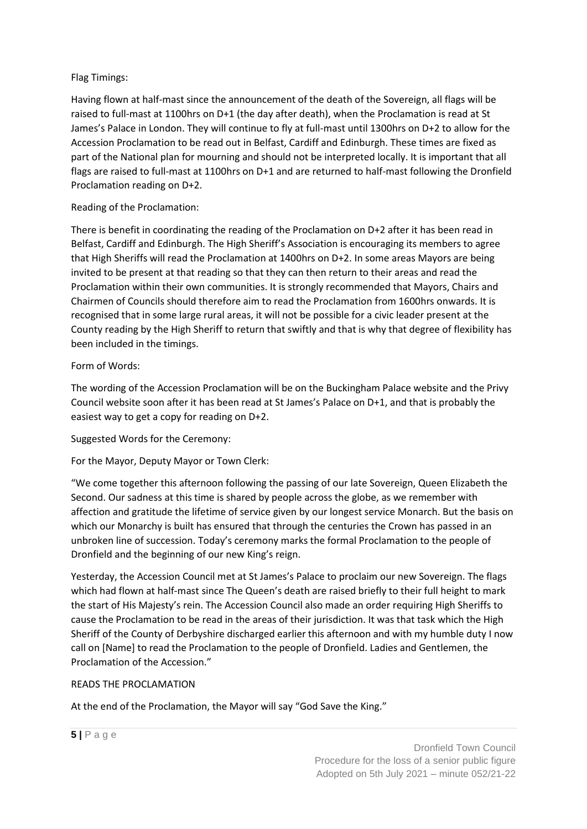### Flag Timings:

Having flown at half-mast since the announcement of the death of the Sovereign, all flags will be raised to full-mast at 1100hrs on D+1 (the day after death), when the Proclamation is read at St James's Palace in London. They will continue to fly at full-mast until 1300hrs on D+2 to allow for the Accession Proclamation to be read out in Belfast, Cardiff and Edinburgh. These times are fixed as part of the National plan for mourning and should not be interpreted locally. It is important that all flags are raised to full-mast at 1100hrs on D+1 and are returned to half-mast following the Dronfield Proclamation reading on D+2.

### Reading of the Proclamation:

There is benefit in coordinating the reading of the Proclamation on D+2 after it has been read in Belfast, Cardiff and Edinburgh. The High Sheriff's Association is encouraging its members to agree that High Sheriffs will read the Proclamation at 1400hrs on D+2. In some areas Mayors are being invited to be present at that reading so that they can then return to their areas and read the Proclamation within their own communities. It is strongly recommended that Mayors, Chairs and Chairmen of Councils should therefore aim to read the Proclamation from 1600hrs onwards. It is recognised that in some large rural areas, it will not be possible for a civic leader present at the County reading by the High Sheriff to return that swiftly and that is why that degree of flexibility has been included in the timings.

### Form of Words:

The wording of the Accession Proclamation will be on the Buckingham Palace website and the Privy Council website soon after it has been read at St James's Palace on D+1, and that is probably the easiest way to get a copy for reading on D+2.

Suggested Words for the Ceremony:

For the Mayor, Deputy Mayor or Town Clerk:

"We come together this afternoon following the passing of our late Sovereign, Queen Elizabeth the Second. Our sadness at this time is shared by people across the globe, as we remember with affection and gratitude the lifetime of service given by our longest service Monarch. But the basis on which our Monarchy is built has ensured that through the centuries the Crown has passed in an unbroken line of succession. Today's ceremony marks the formal Proclamation to the people of Dronfield and the beginning of our new King's reign.

Yesterday, the Accession Council met at St James's Palace to proclaim our new Sovereign. The flags which had flown at half-mast since The Queen's death are raised briefly to their full height to mark the start of His Majesty's rein. The Accession Council also made an order requiring High Sheriffs to cause the Proclamation to be read in the areas of their jurisdiction. It was that task which the High Sheriff of the County of Derbyshire discharged earlier this afternoon and with my humble duty I now call on [Name] to read the Proclamation to the people of Dronfield. Ladies and Gentlemen, the Proclamation of the Accession."

### READS THE PROCLAMATION

At the end of the Proclamation, the Mayor will say "God Save the King."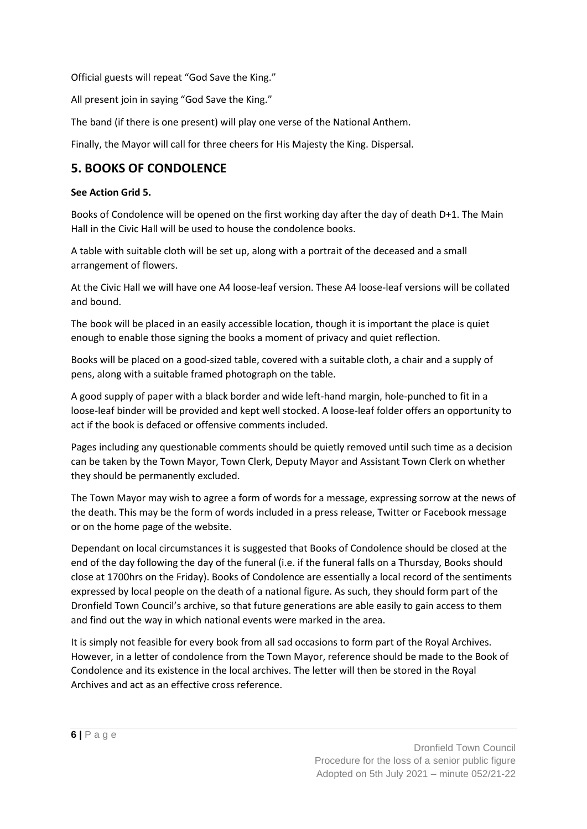Official guests will repeat "God Save the King."

All present join in saying "God Save the King."

The band (if there is one present) will play one verse of the National Anthem.

Finally, the Mayor will call for three cheers for His Majesty the King. Dispersal.

## **5. BOOKS OF CONDOLENCE**

#### **See Action Grid 5.**

Books of Condolence will be opened on the first working day after the day of death D+1. The Main Hall in the Civic Hall will be used to house the condolence books.

A table with suitable cloth will be set up, along with a portrait of the deceased and a small arrangement of flowers.

At the Civic Hall we will have one A4 loose-leaf version. These A4 loose-leaf versions will be collated and bound.

The book will be placed in an easily accessible location, though it is important the place is quiet enough to enable those signing the books a moment of privacy and quiet reflection.

Books will be placed on a good-sized table, covered with a suitable cloth, a chair and a supply of pens, along with a suitable framed photograph on the table.

A good supply of paper with a black border and wide left-hand margin, hole-punched to fit in a loose-leaf binder will be provided and kept well stocked. A loose-leaf folder offers an opportunity to act if the book is defaced or offensive comments included.

Pages including any questionable comments should be quietly removed until such time as a decision can be taken by the Town Mayor, Town Clerk, Deputy Mayor and Assistant Town Clerk on whether they should be permanently excluded.

The Town Mayor may wish to agree a form of words for a message, expressing sorrow at the news of the death. This may be the form of words included in a press release, Twitter or Facebook message or on the home page of the website.

Dependant on local circumstances it is suggested that Books of Condolence should be closed at the end of the day following the day of the funeral (i.e. if the funeral falls on a Thursday, Books should close at 1700hrs on the Friday). Books of Condolence are essentially a local record of the sentiments expressed by local people on the death of a national figure. As such, they should form part of the Dronfield Town Council's archive, so that future generations are able easily to gain access to them and find out the way in which national events were marked in the area.

It is simply not feasible for every book from all sad occasions to form part of the Royal Archives. However, in a letter of condolence from the Town Mayor, reference should be made to the Book of Condolence and its existence in the local archives. The letter will then be stored in the Royal Archives and act as an effective cross reference.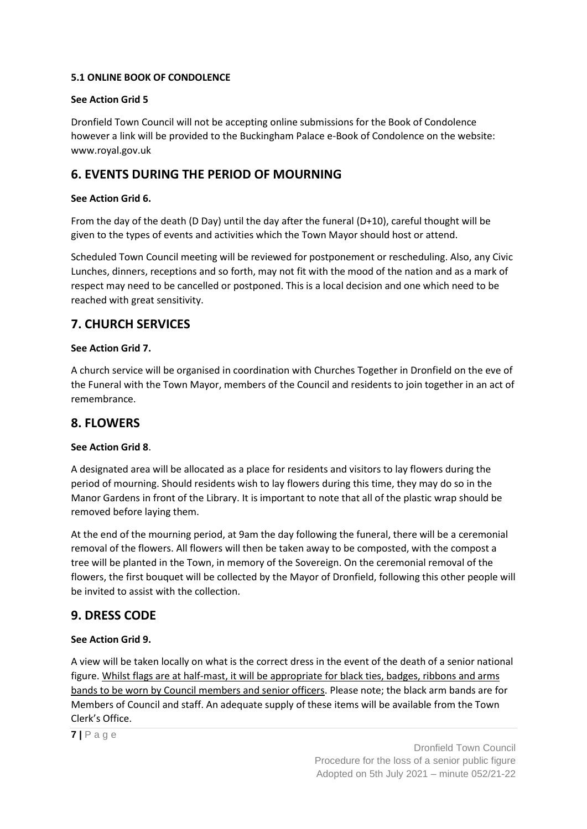### **5.1 ONLINE BOOK OF CONDOLENCE**

#### **See Action Grid 5**

Dronfield Town Council will not be accepting online submissions for the Book of Condolence however a link will be provided to the Buckingham Palace e-Book of Condolence on the website: www.royal.gov.uk

## **6. EVENTS DURING THE PERIOD OF MOURNING**

#### **See Action Grid 6.**

From the day of the death (D Day) until the day after the funeral (D+10), careful thought will be given to the types of events and activities which the Town Mayor should host or attend.

Scheduled Town Council meeting will be reviewed for postponement or rescheduling. Also, any Civic Lunches, dinners, receptions and so forth, may not fit with the mood of the nation and as a mark of respect may need to be cancelled or postponed. This is a local decision and one which need to be reached with great sensitivity.

### **7. CHURCH SERVICES**

#### **See Action Grid 7.**

A church service will be organised in coordination with Churches Together in Dronfield on the eve of the Funeral with the Town Mayor, members of the Council and residents to join together in an act of remembrance.

### **8. FLOWERS**

### **See Action Grid 8**.

A designated area will be allocated as a place for residents and visitors to lay flowers during the period of mourning. Should residents wish to lay flowers during this time, they may do so in the Manor Gardens in front of the Library. It is important to note that all of the plastic wrap should be removed before laying them.

At the end of the mourning period, at 9am the day following the funeral, there will be a ceremonial removal of the flowers. All flowers will then be taken away to be composted, with the compost a tree will be planted in the Town, in memory of the Sovereign. On the ceremonial removal of the flowers, the first bouquet will be collected by the Mayor of Dronfield, following this other people will be invited to assist with the collection.

# **9. DRESS CODE**

### **See Action Grid 9.**

A view will be taken locally on what is the correct dress in the event of the death of a senior national figure. Whilst flags are at half-mast, it will be appropriate for black ties, badges, ribbons and arms bands to be worn by Council members and senior officers. Please note; the black arm bands are for Members of Council and staff. An adequate supply of these items will be available from the Town Clerk's Office.

**7 |** P a g e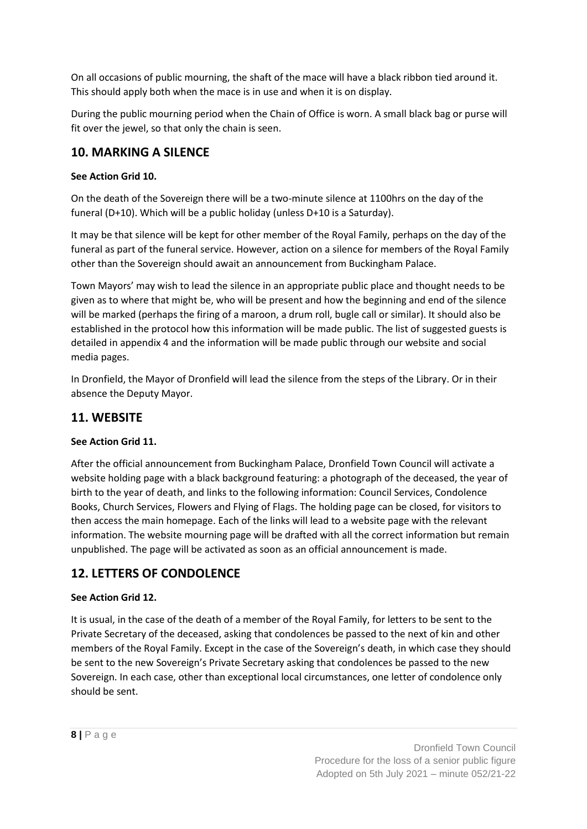On all occasions of public mourning, the shaft of the mace will have a black ribbon tied around it. This should apply both when the mace is in use and when it is on display.

During the public mourning period when the Chain of Office is worn. A small black bag or purse will fit over the jewel, so that only the chain is seen.

# **10. MARKING A SILENCE**

### **See Action Grid 10.**

On the death of the Sovereign there will be a two-minute silence at 1100hrs on the day of the funeral (D+10). Which will be a public holiday (unless D+10 is a Saturday).

It may be that silence will be kept for other member of the Royal Family, perhaps on the day of the funeral as part of the funeral service. However, action on a silence for members of the Royal Family other than the Sovereign should await an announcement from Buckingham Palace.

Town Mayors' may wish to lead the silence in an appropriate public place and thought needs to be given as to where that might be, who will be present and how the beginning and end of the silence will be marked (perhaps the firing of a maroon, a drum roll, bugle call or similar). It should also be established in the protocol how this information will be made public. The list of suggested guests is detailed in appendix 4 and the information will be made public through our website and social media pages.

In Dronfield, the Mayor of Dronfield will lead the silence from the steps of the Library. Or in their absence the Deputy Mayor.

# **11. WEBSITE**

### **See Action Grid 11.**

After the official announcement from Buckingham Palace, Dronfield Town Council will activate a website holding page with a black background featuring: a photograph of the deceased, the year of birth to the year of death, and links to the following information: Council Services, Condolence Books, Church Services, Flowers and Flying of Flags. The holding page can be closed, for visitors to then access the main homepage. Each of the links will lead to a website page with the relevant information. The website mourning page will be drafted with all the correct information but remain unpublished. The page will be activated as soon as an official announcement is made.

# **12. LETTERS OF CONDOLENCE**

### **See Action Grid 12.**

It is usual, in the case of the death of a member of the Royal Family, for letters to be sent to the Private Secretary of the deceased, asking that condolences be passed to the next of kin and other members of the Royal Family. Except in the case of the Sovereign's death, in which case they should be sent to the new Sovereign's Private Secretary asking that condolences be passed to the new Sovereign. In each case, other than exceptional local circumstances, one letter of condolence only should be sent.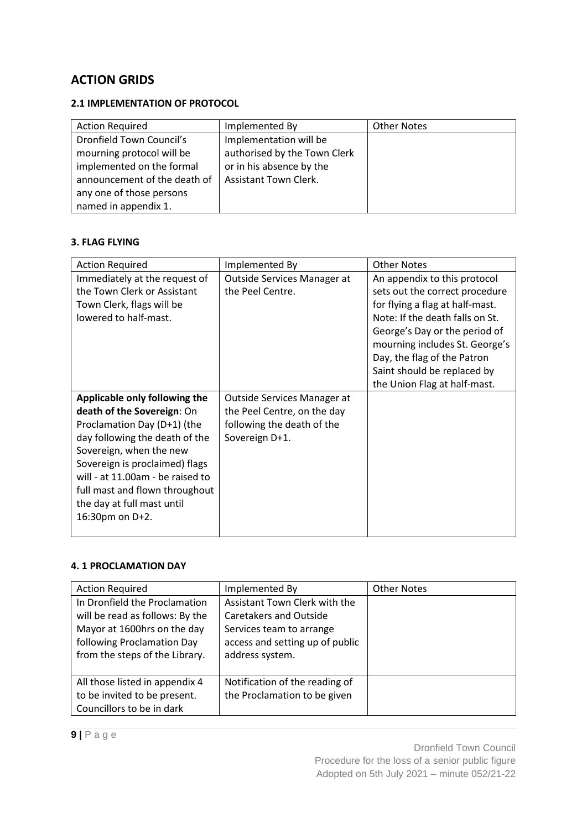# **ACTION GRIDS**

### **2.1 IMPLEMENTATION OF PROTOCOL**

| <b>Action Required</b>          | Implemented By               | <b>Other Notes</b> |
|---------------------------------|------------------------------|--------------------|
| <b>Dronfield Town Council's</b> | Implementation will be       |                    |
| mourning protocol will be       | authorised by the Town Clerk |                    |
| implemented on the formal       | or in his absence by the     |                    |
| announcement of the death of    | Assistant Town Clerk.        |                    |
| any one of those persons        |                              |                    |
| named in appendix 1.            |                              |                    |

### **3. FLAG FLYING**

| <b>Action Required</b>                                                                                                                                                                                                                                                                                           | Implemented By                                                                                             | <b>Other Notes</b>                                                                                                                                                                                                                                                                                    |
|------------------------------------------------------------------------------------------------------------------------------------------------------------------------------------------------------------------------------------------------------------------------------------------------------------------|------------------------------------------------------------------------------------------------------------|-------------------------------------------------------------------------------------------------------------------------------------------------------------------------------------------------------------------------------------------------------------------------------------------------------|
| Immediately at the request of<br>the Town Clerk or Assistant<br>Town Clerk, flags will be<br>lowered to half-mast.                                                                                                                                                                                               | Outside Services Manager at<br>the Peel Centre.                                                            | An appendix to this protocol<br>sets out the correct procedure<br>for flying a flag at half-mast.<br>Note: If the death falls on St.<br>George's Day or the period of<br>mourning includes St. George's<br>Day, the flag of the Patron<br>Saint should be replaced by<br>the Union Flag at half-mast. |
| Applicable only following the<br>death of the Sovereign: On<br>Proclamation Day (D+1) (the<br>day following the death of the<br>Sovereign, when the new<br>Sovereign is proclaimed) flags<br>will - at 11.00am - be raised to<br>full mast and flown throughout<br>the day at full mast until<br>16:30pm on D+2. | Outside Services Manager at<br>the Peel Centre, on the day<br>following the death of the<br>Sovereign D+1. |                                                                                                                                                                                                                                                                                                       |

### **4. 1 PROCLAMATION DAY**

| <b>Action Required</b>          | Implemented By                  | <b>Other Notes</b> |
|---------------------------------|---------------------------------|--------------------|
| In Dronfield the Proclamation   | Assistant Town Clerk with the   |                    |
| will be read as follows: By the | Caretakers and Outside          |                    |
| Mayor at 1600hrs on the day     | Services team to arrange        |                    |
| following Proclamation Day      | access and setting up of public |                    |
| from the steps of the Library.  | address system.                 |                    |
|                                 |                                 |                    |
| All those listed in appendix 4  | Notification of the reading of  |                    |
| to be invited to be present.    | the Proclamation to be given    |                    |
| Councillors to be in dark       |                                 |                    |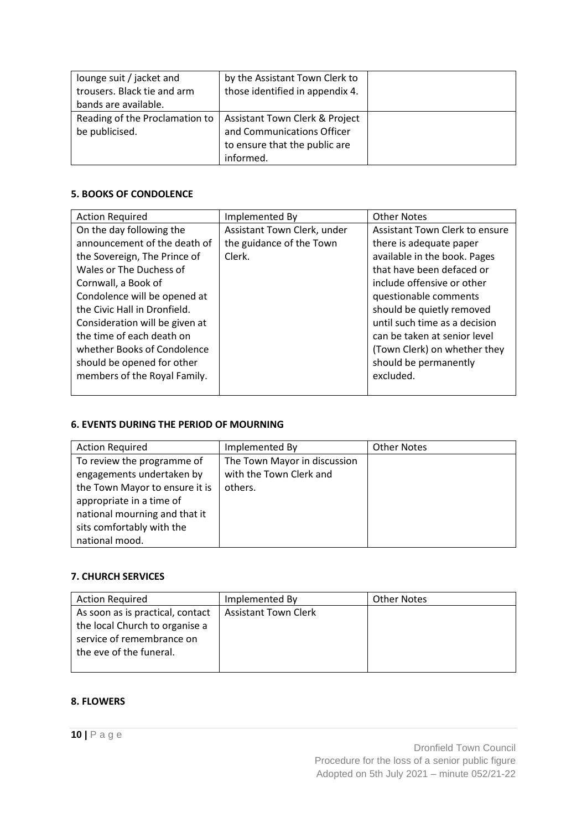| lounge suit / jacket and<br>trousers. Black tie and arm<br>bands are available. | by the Assistant Town Clerk to<br>those identified in appendix 4.                                                     |  |
|---------------------------------------------------------------------------------|-----------------------------------------------------------------------------------------------------------------------|--|
| Reading of the Proclamation to<br>be publicised.                                | <b>Assistant Town Clerk &amp; Project</b><br>and Communications Officer<br>to ensure that the public are<br>informed. |  |

### **5. BOOKS OF CONDOLENCE**

| <b>Action Required</b>         | Implemented By              | <b>Other Notes</b>             |
|--------------------------------|-----------------------------|--------------------------------|
| On the day following the       | Assistant Town Clerk, under | Assistant Town Clerk to ensure |
| announcement of the death of   | the guidance of the Town    | there is adequate paper        |
| the Sovereign, The Prince of   | Clerk.                      | available in the book. Pages   |
| Wales or The Duchess of        |                             | that have been defaced or      |
| Cornwall, a Book of            |                             | include offensive or other     |
| Condolence will be opened at   |                             | questionable comments          |
| the Civic Hall in Dronfield.   |                             | should be quietly removed      |
| Consideration will be given at |                             | until such time as a decision  |
| the time of each death on      |                             | can be taken at senior level   |
| whether Books of Condolence    |                             | (Town Clerk) on whether they   |
| should be opened for other     |                             | should be permanently          |
| members of the Royal Family.   |                             | excluded.                      |
|                                |                             |                                |

### **6. EVENTS DURING THE PERIOD OF MOURNING**

| <b>Action Required</b>                                                                                                                                                              | Implemented By                                                     | <b>Other Notes</b> |
|-------------------------------------------------------------------------------------------------------------------------------------------------------------------------------------|--------------------------------------------------------------------|--------------------|
| To review the programme of<br>engagements undertaken by<br>the Town Mayor to ensure it is<br>appropriate in a time of<br>national mourning and that it<br>sits comfortably with the | The Town Mayor in discussion<br>with the Town Clerk and<br>others. |                    |
| national mood.                                                                                                                                                                      |                                                                    |                    |

### **7. CHURCH SERVICES**

| <b>Action Required</b>           | Implemented By              | <b>Other Notes</b> |
|----------------------------------|-----------------------------|--------------------|
| As soon as is practical, contact | <b>Assistant Town Clerk</b> |                    |
| the local Church to organise a   |                             |                    |
| service of remembrance on        |                             |                    |
| the eve of the funeral.          |                             |                    |
|                                  |                             |                    |

### **8. FLOWERS**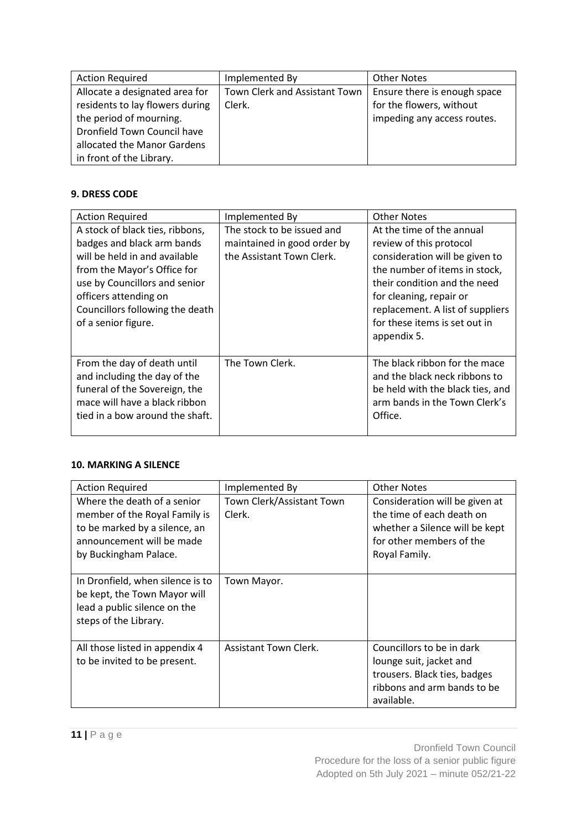| <b>Action Required</b>          | Implemented By                | <b>Other Notes</b>           |
|---------------------------------|-------------------------------|------------------------------|
| Allocate a designated area for  | Town Clerk and Assistant Town | Ensure there is enough space |
| residents to lay flowers during | Clerk.                        | for the flowers, without     |
| the period of mourning.         |                               | impeding any access routes.  |
| Dronfield Town Council have     |                               |                              |
| allocated the Manor Gardens     |                               |                              |
| in front of the Library.        |                               |                              |

### **9. DRESS CODE**

| <b>Action Required</b>                                                                                                                                                                                                                            | Implemented By                                                                         | <b>Other Notes</b>                                                                                                                                                                                                                                                     |
|---------------------------------------------------------------------------------------------------------------------------------------------------------------------------------------------------------------------------------------------------|----------------------------------------------------------------------------------------|------------------------------------------------------------------------------------------------------------------------------------------------------------------------------------------------------------------------------------------------------------------------|
| A stock of black ties, ribbons,<br>badges and black arm bands<br>will be held in and available<br>from the Mayor's Office for<br>use by Councillors and senior<br>officers attending on<br>Councillors following the death<br>of a senior figure. | The stock to be issued and<br>maintained in good order by<br>the Assistant Town Clerk. | At the time of the annual<br>review of this protocol<br>consideration will be given to<br>the number of items in stock,<br>their condition and the need<br>for cleaning, repair or<br>replacement. A list of suppliers<br>for these items is set out in<br>appendix 5. |
| From the day of death until<br>and including the day of the<br>funeral of the Sovereign, the<br>mace will have a black ribbon<br>tied in a bow around the shaft.                                                                                  | The Town Clerk.                                                                        | The black ribbon for the mace<br>and the black neck ribbons to<br>be held with the black ties, and<br>arm bands in the Town Clerk's<br>Office.                                                                                                                         |

### **10. MARKING A SILENCE**

| <b>Action Required</b>                                                                                                                              | Implemented By                      | <b>Other Notes</b>                                                                                                                         |
|-----------------------------------------------------------------------------------------------------------------------------------------------------|-------------------------------------|--------------------------------------------------------------------------------------------------------------------------------------------|
| Where the death of a senior<br>member of the Royal Family is<br>to be marked by a silence, an<br>announcement will be made<br>by Buckingham Palace. | Town Clerk/Assistant Town<br>Clerk. | Consideration will be given at<br>the time of each death on<br>whether a Silence will be kept<br>for other members of the<br>Royal Family. |
| In Dronfield, when silence is to<br>be kept, the Town Mayor will<br>lead a public silence on the<br>steps of the Library.                           | Town Mayor.                         |                                                                                                                                            |
| All those listed in appendix 4<br>to be invited to be present.                                                                                      | <b>Assistant Town Clerk.</b>        | Councillors to be in dark<br>lounge suit, jacket and<br>trousers. Black ties, badges<br>ribbons and arm bands to be<br>available.          |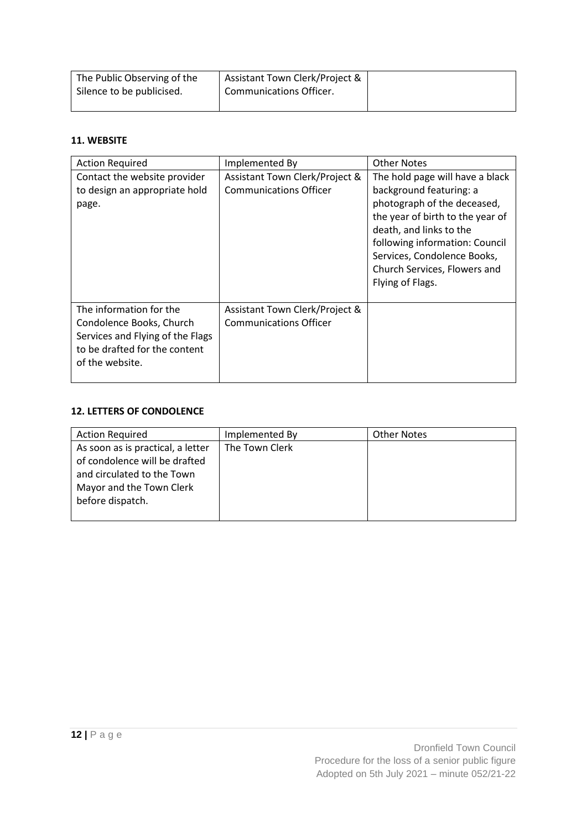| The Public Observing of the | Assistant Town Clerk/Project & |
|-----------------------------|--------------------------------|
| Silence to be publicised.   | Communications Officer.        |
|                             |                                |

#### **11. WEBSITE**

| <b>Action Required</b>                                                                                                                      | Implemented By                                                  | <b>Other Notes</b>                                                                                                                                                                                                                                                            |
|---------------------------------------------------------------------------------------------------------------------------------------------|-----------------------------------------------------------------|-------------------------------------------------------------------------------------------------------------------------------------------------------------------------------------------------------------------------------------------------------------------------------|
| Contact the website provider<br>to design an appropriate hold<br>page.                                                                      | Assistant Town Clerk/Project &<br><b>Communications Officer</b> | The hold page will have a black<br>background featuring: a<br>photograph of the deceased,<br>the year of birth to the year of<br>death, and links to the<br>following information: Council<br>Services, Condolence Books,<br>Church Services, Flowers and<br>Flying of Flags. |
| The information for the<br>Condolence Books, Church<br>Services and Flying of the Flags<br>to be drafted for the content<br>of the website. | Assistant Town Clerk/Project &<br><b>Communications Officer</b> |                                                                                                                                                                                                                                                                               |

### **12. LETTERS OF CONDOLENCE**

| <b>Action Required</b>            | Implemented By | <b>Other Notes</b> |
|-----------------------------------|----------------|--------------------|
| As soon as is practical, a letter | The Town Clerk |                    |
| of condolence will be drafted     |                |                    |
| and circulated to the Town        |                |                    |
| Mayor and the Town Clerk          |                |                    |
| before dispatch.                  |                |                    |
|                                   |                |                    |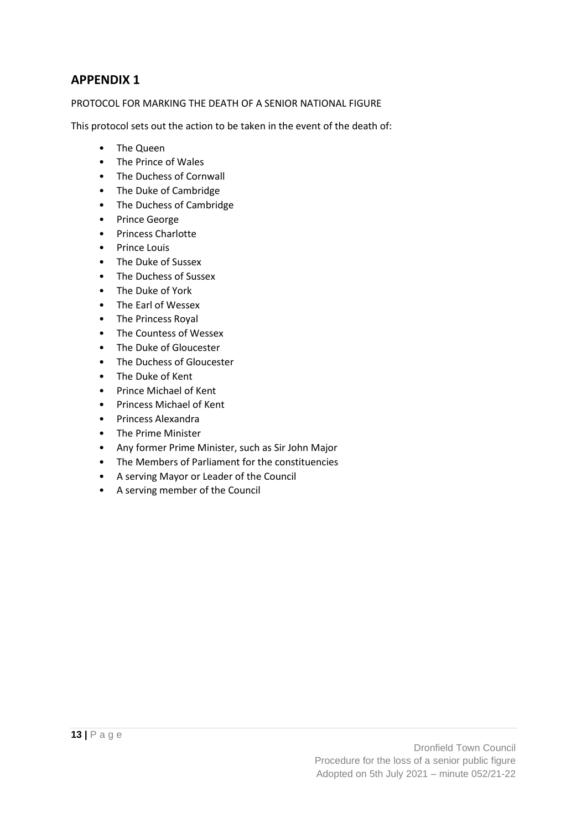#### PROTOCOL FOR MARKING THE DEATH OF A SENIOR NATIONAL FIGURE

This protocol sets out the action to be taken in the event of the death of:

- The Queen
- The Prince of Wales
- The Duchess of Cornwall
- The Duke of Cambridge
- The Duchess of Cambridge
- Prince George
- Princess Charlotte
- Prince Louis
- The Duke of Sussex
- The Duchess of Sussex
- The Duke of York
- The Earl of Wessex
- The Princess Royal
- The Countess of Wessex
- The Duke of Gloucester
- The Duchess of Gloucester
- The Duke of Kent
- Prince Michael of Kent
- Princess Michael of Kent
- Princess Alexandra
- The Prime Minister
- Any former Prime Minister, such as Sir John Major
- The Members of Parliament for the constituencies
- A serving Mayor or Leader of the Council
- A serving member of the Council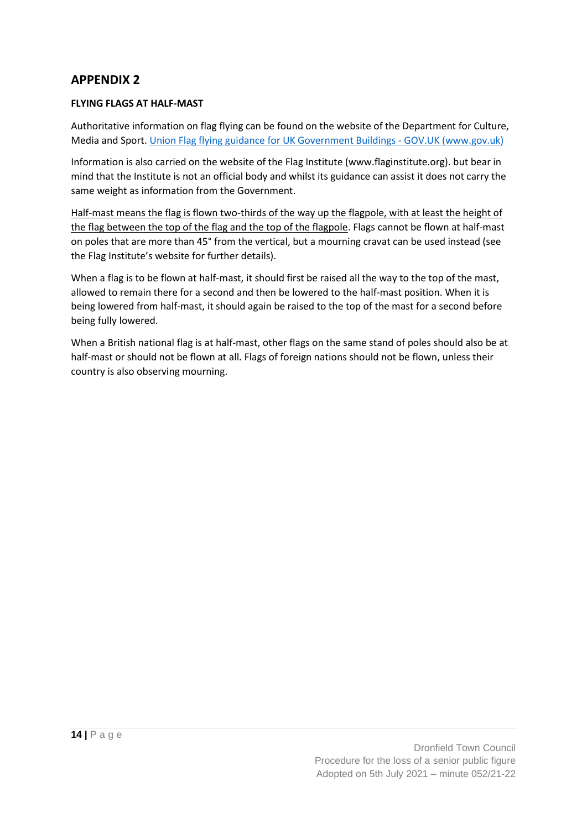### **FLYING FLAGS AT HALF-MAST**

Authoritative information on flag flying can be found on the website of the Department for Culture, Media and Sport[. Union Flag flying guidance for UK Government Buildings -](https://www.gov.uk/guidance/designated-days-for-union-flag-flying) GOV.UK (www.gov.uk)

Information is also carried on the website of the Flag Institute (www.flaginstitute.org). but bear in mind that the Institute is not an official body and whilst its guidance can assist it does not carry the same weight as information from the Government.

Half-mast means the flag is flown two-thirds of the way up the flagpole, with at least the height of the flag between the top of the flag and the top of the flagpole. Flags cannot be flown at half-mast on poles that are more than 45° from the vertical, but a mourning cravat can be used instead (see the Flag Institute's website for further details).

When a flag is to be flown at half-mast, it should first be raised all the way to the top of the mast, allowed to remain there for a second and then be lowered to the half-mast position. When it is being lowered from half-mast, it should again be raised to the top of the mast for a second before being fully lowered.

When a British national flag is at half-mast, other flags on the same stand of poles should also be at half-mast or should not be flown at all. Flags of foreign nations should not be flown, unless their country is also observing mourning.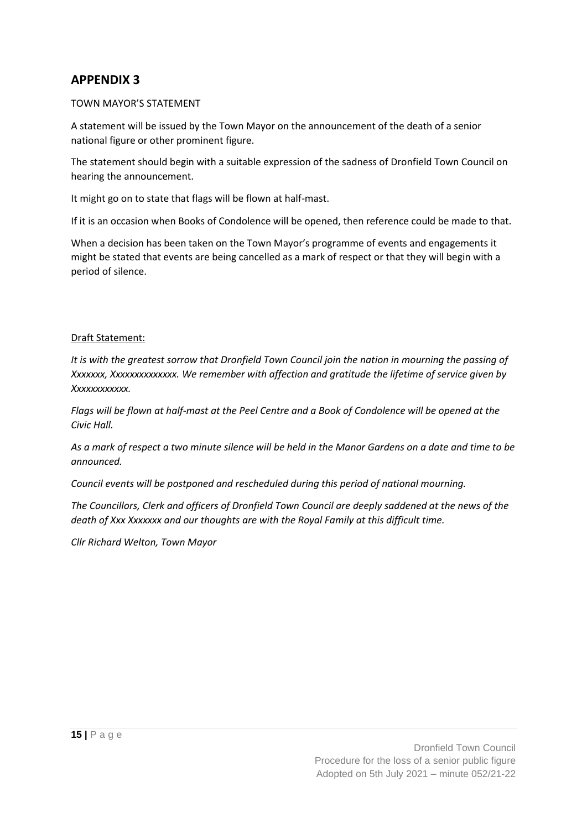#### TOWN MAYOR'S STATEMENT

A statement will be issued by the Town Mayor on the announcement of the death of a senior national figure or other prominent figure.

The statement should begin with a suitable expression of the sadness of Dronfield Town Council on hearing the announcement.

It might go on to state that flags will be flown at half-mast.

If it is an occasion when Books of Condolence will be opened, then reference could be made to that.

When a decision has been taken on the Town Mayor's programme of events and engagements it might be stated that events are being cancelled as a mark of respect or that they will begin with a period of silence.

#### Draft Statement:

*It is with the greatest sorrow that Dronfield Town Council join the nation in mourning the passing of Xxxxxxx, Xxxxxxxxxxxxxx. We remember with affection and gratitude the lifetime of service given by Xxxxxxxxxxxx.*

*Flags will be flown at half-mast at the Peel Centre and a Book of Condolence will be opened at the Civic Hall.*

*As a mark of respect a two minute silence will be held in the Manor Gardens on a date and time to be announced.*

*Council events will be postponed and rescheduled during this period of national mourning.*

*The Councillors, Clerk and officers of Dronfield Town Council are deeply saddened at the news of the death of Xxx Xxxxxxx and our thoughts are with the Royal Family at this difficult time.*

*Cllr Richard Welton, Town Mayor*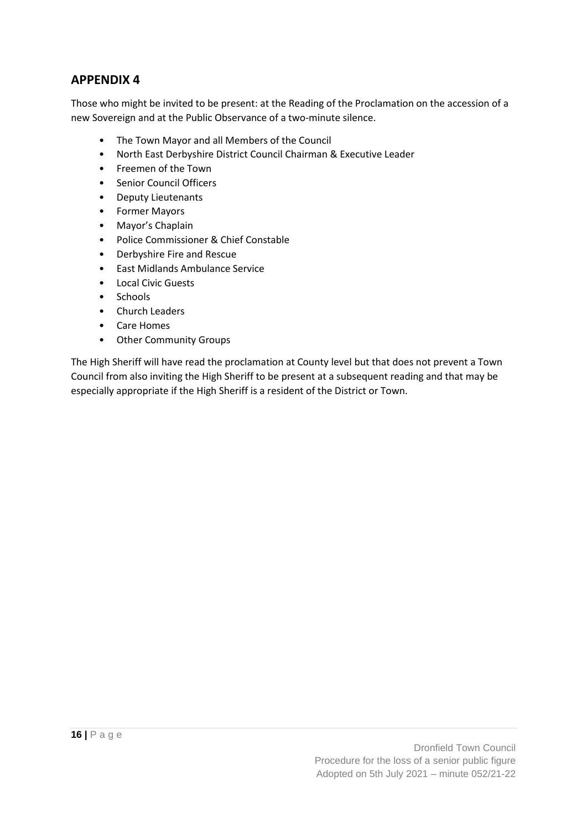Those who might be invited to be present: at the Reading of the Proclamation on the accession of a new Sovereign and at the Public Observance of a two-minute silence.

- The Town Mayor and all Members of the Council
- North East Derbyshire District Council Chairman & Executive Leader
- Freemen of the Town
- Senior Council Officers
- Deputy Lieutenants
- Former Mayors
- Mayor's Chaplain
- Police Commissioner & Chief Constable
- Derbyshire Fire and Rescue
- East Midlands Ambulance Service
- Local Civic Guests
- Schools
- Church Leaders
- Care Homes
- Other Community Groups

The High Sheriff will have read the proclamation at County level but that does not prevent a Town Council from also inviting the High Sheriff to be present at a subsequent reading and that may be especially appropriate if the High Sheriff is a resident of the District or Town.